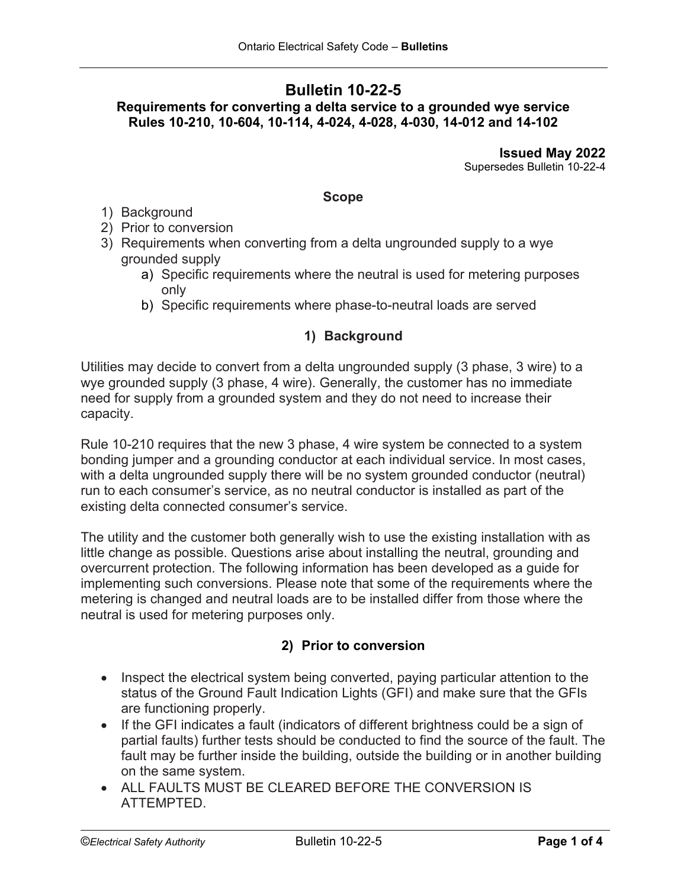# **Bulletin 10-22-5**

# **Requirements for converting a delta service to a grounded wye service Rules 10-210, 10-604, 10-114, 4-024, 4-028, 4-030, 14-012 and 14-102**

**Issued May 2022** Supersedes Bulletin 10-22-4

#### **Scope**

- 1) Background
- 2) Prior to conversion
- 3) Requirements when converting from a delta ungrounded supply to a wye grounded supply
	- a) Specific requirements where the neutral is used for metering purposes only
	- b) Specific requirements where phase-to-neutral loads are served

# **1) Background**

Utilities may decide to convert from a delta ungrounded supply (3 phase, 3 wire) to a wye grounded supply (3 phase, 4 wire). Generally, the customer has no immediate need for supply from a grounded system and they do not need to increase their capacity.

Rule 10-210 requires that the new 3 phase, 4 wire system be connected to a system bonding jumper and a grounding conductor at each individual service. In most cases, with a delta ungrounded supply there will be no system grounded conductor (neutral) run to each consumer's service, as no neutral conductor is installed as part of the existing delta connected consumer's service.

The utility and the customer both generally wish to use the existing installation with as little change as possible. Questions arise about installing the neutral, grounding and overcurrent protection. The following information has been developed as a guide for implementing such conversions. Please note that some of the requirements where the metering is changed and neutral loads are to be installed differ from those where the neutral is used for metering purposes only.

## **2) Prior to conversion**

- Inspect the electrical system being converted, paying particular attention to the status of the Ground Fault Indication Lights (GFI) and make sure that the GFIs are functioning properly.
- If the GFI indicates a fault (indicators of different brightness could be a sign of partial faults) further tests should be conducted to find the source of the fault. The fault may be further inside the building, outside the building or in another building on the same system.
- ALL FAULTS MUST BE CLEARED BEFORE THE CONVERSION IS ATTEMPTED.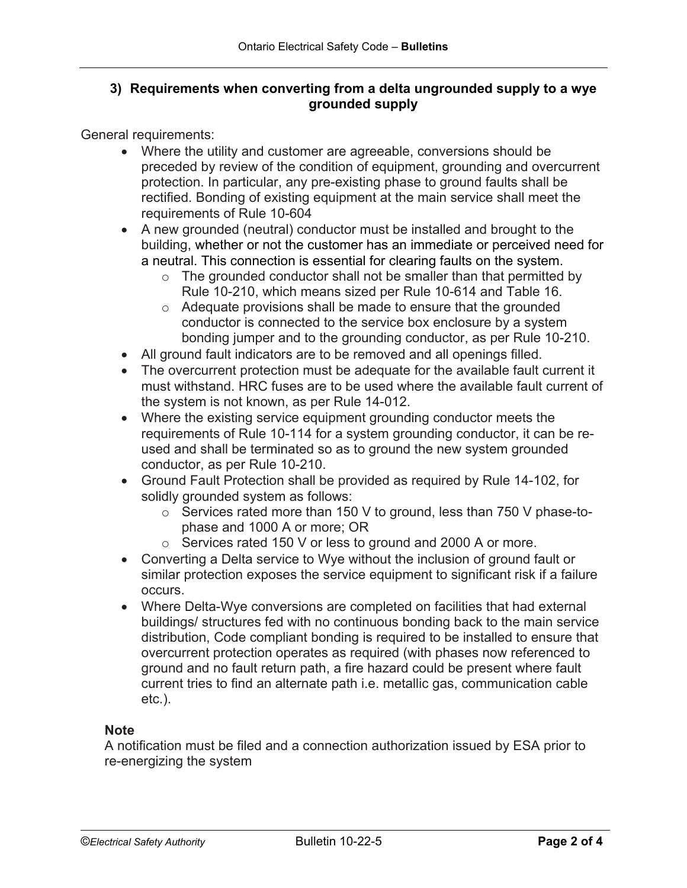## **3) Requirements when converting from a delta ungrounded supply to a wye grounded supply**

General requirements:

- Where the utility and customer are agreeable, conversions should be preceded by review of the condition of equipment, grounding and overcurrent protection. In particular, any pre-existing phase to ground faults shall be rectified. Bonding of existing equipment at the main service shall meet the requirements of Rule 10-604
- A new grounded (neutral) conductor must be installed and brought to the building, whether or not the customer has an immediate or perceived need for a neutral. This connection is essential for clearing faults on the system.
	- $\circ$  The grounded conductor shall not be smaller than that permitted by Rule 10-210, which means sized per Rule 10-614 and Table 16.
	- o Adequate provisions shall be made to ensure that the grounded conductor is connected to the service box enclosure by a system bonding jumper and to the grounding conductor, as per Rule 10-210.
- All ground fault indicators are to be removed and all openings filled.
- The overcurrent protection must be adequate for the available fault current it must withstand. HRC fuses are to be used where the available fault current of the system is not known, as per Rule 14-012.
- Where the existing service equipment grounding conductor meets the requirements of Rule 10-114 for a system grounding conductor, it can be reused and shall be terminated so as to ground the new system grounded conductor, as per Rule 10-210.
- Ground Fault Protection shall be provided as required by Rule 14-102, for solidly grounded system as follows:
	- o Services rated more than 150 V to ground, less than 750 V phase-tophase and 1000 A or more; OR
	- o Services rated 150 V or less to ground and 2000 A or more.
- Converting a Delta service to Wye without the inclusion of ground fault or similar protection exposes the service equipment to significant risk if a failure occurs.
- Where Delta-Wye conversions are completed on facilities that had external buildings/ structures fed with no continuous bonding back to the main service distribution, Code compliant bonding is required to be installed to ensure that overcurrent protection operates as required (with phases now referenced to ground and no fault return path, a fire hazard could be present where fault current tries to find an alternate path i.e. metallic gas, communication cable etc.).

## **Note**

A notification must be filed and a connection authorization issued by ESA prior to re-energizing the system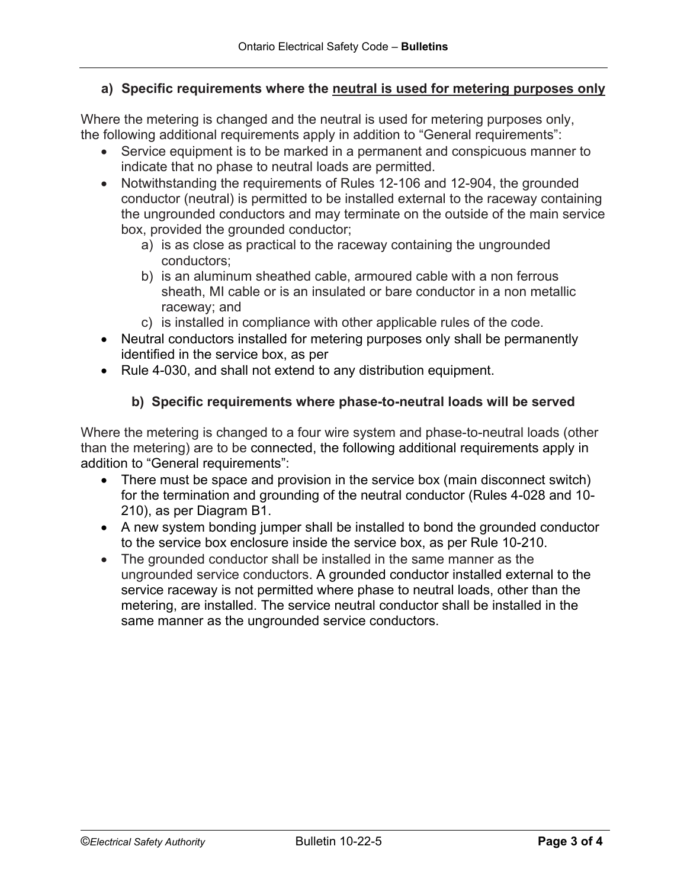#### **a) Specific requirements where the neutral is used for metering purposes only**

Where the metering is changed and the neutral is used for metering purposes only, the following additional requirements apply in addition to "General requirements":

- Service equipment is to be marked in a permanent and conspicuous manner to indicate that no phase to neutral loads are permitted.
- Notwithstanding the requirements of Rules 12-106 and 12-904, the grounded conductor (neutral) is permitted to be installed external to the raceway containing the ungrounded conductors and may terminate on the outside of the main service box, provided the grounded conductor;
	- a) is as close as practical to the raceway containing the ungrounded conductors;
	- b) is an aluminum sheathed cable, armoured cable with a non ferrous sheath, MI cable or is an insulated or bare conductor in a non metallic raceway; and
	- c) is installed in compliance with other applicable rules of the code.
- Neutral conductors installed for metering purposes only shall be permanently identified in the service box, as per
- Rule 4-030, and shall not extend to any distribution equipment.

## **b) Specific requirements where phase-to-neutral loads will be served**

Where the metering is changed to a four wire system and phase-to-neutral loads (other than the metering) are to be connected, the following additional requirements apply in addition to "General requirements":

- There must be space and provision in the service box (main disconnect switch) for the termination and grounding of the neutral conductor (Rules 4-028 and 10- 210), as per Diagram B1.
- A new system bonding jumper shall be installed to bond the grounded conductor to the service box enclosure inside the service box, as per Rule 10-210.
- The grounded conductor shall be installed in the same manner as the ungrounded service conductors. A grounded conductor installed external to the service raceway is not permitted where phase to neutral loads, other than the metering, are installed. The service neutral conductor shall be installed in the same manner as the ungrounded service conductors.